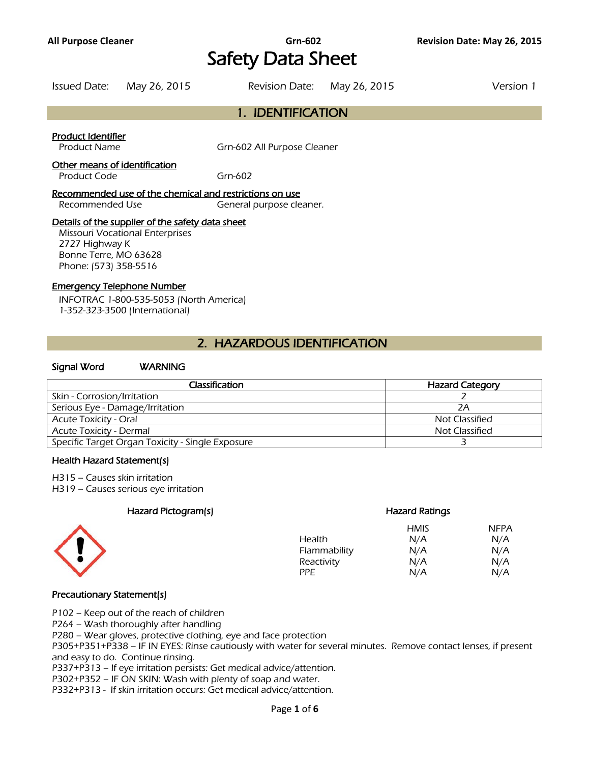# **All Purpose Cleaner Grn-602 Revision Date: May 26, 2015** Safety Data Sheet

| Issued Date: May 26, 2015 | Revision Date: May 26, 2015 | Version 1 |
|---------------------------|-----------------------------|-----------|
|                           | 1. IDENTIFICATION           |           |

### Product Identifier

Product Name Grn-602 All Purpose Cleaner

### Other means of identification

Product Code Grn-602

### Recommended use of the chemical and restrictions on use

Recommended Use General purpose cleaner.

### Details of the supplier of the safety data sheet

Missouri Vocational Enterprises 2727 Highway K Bonne Terre, MO 63628 Phone: (573) 358-5516

### Emergency Telephone Number

INFOTRAC 1-800-535-5053 (North America) 1-352-323-3500 (International)

## 2. HAZARDOUS IDENTIFICATION

### Signal Word WARNING

| Classification                                   | <b>Hazard Category</b> |
|--------------------------------------------------|------------------------|
| Skin - Corrosion/Irritation                      |                        |
| Serious Eye - Damage/Irritation                  | 2Α                     |
| <b>Acute Toxicity - Oral</b>                     | Not Classified         |
| Acute Toxicity - Dermal                          | Not Classified         |
| Specific Target Organ Toxicity - Single Exposure |                        |
|                                                  |                        |

#### Health Hazard Statement(s)

H315 – Causes skin irritation

H319 – Causes serious eye irritation

### Hazard Pictogram(s) Hazard Ratings



## HMIS NFPA Health  $N/A$  N/A Flammability  $N/A$  N/A Reactivity  $N/A$  N/A  $N/A$ PPE N/A N/A

### Precautionary Statement(s)

P102 – Keep out of the reach of children

P264 – Wash thoroughly after handling

P280 – Wear gloves, protective clothing, eye and face protection

P305+P351+P338 – IF IN EYES: Rinse cautiously with water for several minutes. Remove contact lenses, if present and easy to do. Continue rinsing.

P337+P313 – If eye irritation persists: Get medical advice/attention.

P302+P352 – IF ON SKIN: Wash with plenty of soap and water.

P332+P313 - If skin irritation occurs: Get medical advice/attention.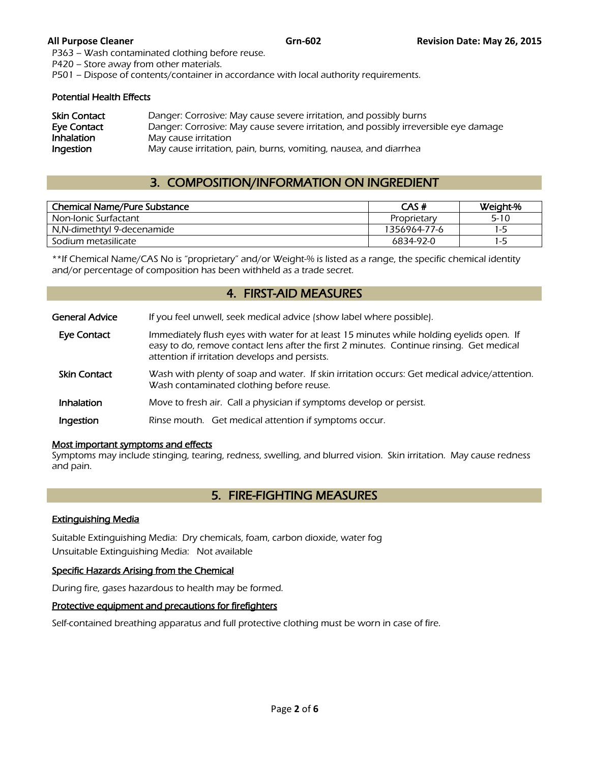P363 – Wash contaminated clothing before reuse.

P420 – Store away from other materials.

P501 – Dispose of contents/container in accordance with local authority requirements.

#### Potential Health Effects

| Skin Contact | Danger: Corrosive: May cause severe irritation, and possibly burns                   |
|--------------|--------------------------------------------------------------------------------------|
| Eve Contact  | Danger: Corrosive: May cause severe irritation, and possibly irreversible eye damage |
| Inhalation   | May cause irritation                                                                 |
| Ingestion    | May cause irritation, pain, burns, vomiting, nausea, and diarrhea                    |

# 3. COMPOSITION/INFORMATION ON INGREDIENT

| <b>Chemical Name/Pure Substance</b> | CAS#         | Weight-% |
|-------------------------------------|--------------|----------|
| Non-Ionic Surfactant                | Proprietary  | $5 - 10$ |
| N,N-dimethtyl 9-decenamide          | 1356964-77-6 | $1 - 5$  |
| Sodium metasilicate                 | 6834-92-0    | 1-5      |
|                                     |              |          |

\*\*If Chemical Name/CAS No is "proprietary" and/or Weight-% is listed as a range, the specific chemical identity and/or percentage of composition has been withheld as a trade secret.

### 4. FIRST-AID MEASURES

| <b>General Advice</b> | If you feel unwell, seek medical advice (show label where possible).                                                                                                                                                                   |
|-----------------------|----------------------------------------------------------------------------------------------------------------------------------------------------------------------------------------------------------------------------------------|
| <b>Eye Contact</b>    | Immediately flush eyes with water for at least 15 minutes while holding eyelids open. If<br>easy to do, remove contact lens after the first 2 minutes. Continue rinsing. Get medical<br>attention if irritation develops and persists. |
| <b>Skin Contact</b>   | Wash with plenty of soap and water. If skin irritation occurs: Get medical advice/attention.<br>Wash contaminated clothing before reuse.                                                                                               |
| <b>Inhalation</b>     | Move to fresh air. Call a physician if symptoms develop or persist.                                                                                                                                                                    |
| Ingestion             | Rinse mouth. Get medical attention if symptoms occur.                                                                                                                                                                                  |

### Most important symptoms and effects

Symptoms may include stinging, tearing, redness, swelling, and blurred vision. Skin irritation. May cause redness and pain.

# 5. FIRE-FIGHTING MEASURES

### Extinguishing Media

Suitable Extinguishing Media: Dry chemicals, foam, carbon dioxide, water fog Unsuitable Extinguishing Media: Not available

### Specific Hazards Arising from the Chemical

During fire, gases hazardous to health may be formed.

### Protective equipment and precautions for firefighters

Self-contained breathing apparatus and full protective clothing must be worn in case of fire.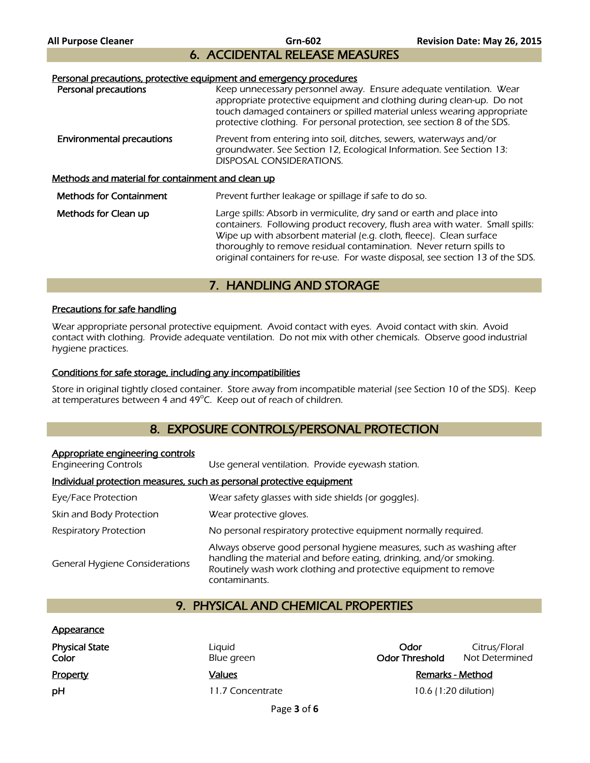# 6. ACCIDENTAL RELEASE MEASURES

### Personal precautions, protective equipment and emergency procedures

| Personal precautions                              | Keep unnecessary personnel away. Ensure adequate ventilation. Wear<br>appropriate protective equipment and clothing during clean-up. Do not<br>touch damaged containers or spilled material unless wearing appropriate<br>protective clothing. For personal protection, see section 8 of the SDS.                                                                                     |  |
|---------------------------------------------------|---------------------------------------------------------------------------------------------------------------------------------------------------------------------------------------------------------------------------------------------------------------------------------------------------------------------------------------------------------------------------------------|--|
| <b>Environmental precautions</b>                  | Prevent from entering into soil, ditches, sewers, waterways and/or<br>groundwater. See Section 12, Ecological Information. See Section 13:<br>DISPOSAL CONSIDERATIONS.                                                                                                                                                                                                                |  |
| Methods and material for containment and clean up |                                                                                                                                                                                                                                                                                                                                                                                       |  |
| <b>Methods for Containment</b>                    | Prevent further leakage or spillage if safe to do so.                                                                                                                                                                                                                                                                                                                                 |  |
| Methods for Clean up                              | Large spills: Absorb in vermiculite, dry sand or earth and place into<br>containers. Following product recovery, flush area with water. Small spills:<br>Wipe up with absorbent material (e.g. cloth, fleece). Clean surface<br>thoroughly to remove residual contamination. Never return spills to<br>original containers for re-use. For waste disposal, see section 13 of the SDS. |  |
|                                                   |                                                                                                                                                                                                                                                                                                                                                                                       |  |

## 7. HANDLING AND STORAGE

### Precautions for safe handling

Wear appropriate personal protective equipment. Avoid contact with eyes. Avoid contact with skin. Avoid contact with clothing. Provide adequate ventilation. Do not mix with other chemicals. Observe good industrial hygiene practices.

### Conditions for safe storage, including any incompatibilities

Store in original tightly closed container. Store away from incompatible material (see Section 10 of the SDS). Keep at temperatures between 4 and 49°C. Keep out of reach of children.

# 8. EXPOSURE CONTROLS/PERSONAL PROTECTION

| Appropriate engineering controls<br><b>Engineering Controls</b>       | Use general ventilation. Provide eyewash station.                                                                                                                                                                              |  |
|-----------------------------------------------------------------------|--------------------------------------------------------------------------------------------------------------------------------------------------------------------------------------------------------------------------------|--|
| Individual protection measures, such as personal protective equipment |                                                                                                                                                                                                                                |  |
| Eye/Face Protection                                                   | Wear safety glasses with side shields (or goggles).                                                                                                                                                                            |  |
| Skin and Body Protection                                              | Wear protective gloves.                                                                                                                                                                                                        |  |
| Respiratory Protection                                                | No personal respiratory protective equipment normally required.                                                                                                                                                                |  |
| <b>General Hygiene Considerations</b>                                 | Always observe good personal hygiene measures, such as washing after<br>handling the material and before eating, drinking, and/or smoking.<br>Routinely wash work clothing and protective equipment to remove<br>contaminants. |  |

## 9. PHYSICAL AND CHEMICAL PROPERTIES

### **Appearance**

| Physical State<br>Color |  |
|-------------------------|--|
| <u>Property</u>         |  |
| pН                      |  |

Liquid **Calcular Control Control Citrus/Floral**<br>
Physical Computer Control Control Citrus/Floral Blue green Control Control Control Citrus/Floral Citrus<br>
Odor Threshold Not Determine **Color Blue green** Blue **Blue green Odor Threshold** Not Determined

**Property Values Property 2016 Remarks - Method** 11.7 Concentrate 10.6 (1:20 dilution)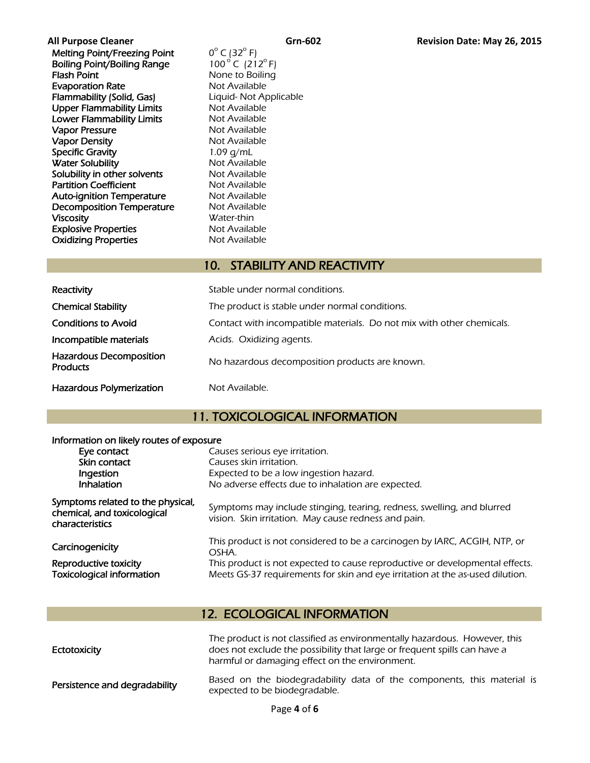All Purpose Cleaner<br>
Melting Point/Freezing Point<br>  $0^{\circ}$  C (32<sup>°</sup> F)<br> **Grn-602 Revision Date: May 26, 2015** Melting Point/Freezing Point  $0^{\circ}$  C (32 $^{\circ}$  F)<br>Boiling Point/Boiling Range 100 $^{\circ}$  C (212 $^{\circ}$  F) Boiling Point/Boiling Range Flash Point None to Boiling **Evaporation Rate** Not Available

Flammability (Solid, Gas) Liquid- Not Applicable Upper Flammability Limits Not Available Lower Flammability Limits Not Available Vapor Pressure Not Available Vapor Density **Not Available** Specific Gravity 1.09 g/mL Water Solubility Not Available Solubility in other solvents Not Available Partition Coefficient Not Available Auto-ignition Temperature Mot Available Decomposition Temperature Mot Available Viscosity Water-thin Explosive Properties<br>
Oxidizing Properties<br>
Not Available

# 10. STABILITY AND REACTIVITY

| Reactivity                                        | Stable under normal conditions.                                       |
|---------------------------------------------------|-----------------------------------------------------------------------|
| <b>Chemical Stability</b>                         | The product is stable under normal conditions.                        |
| <b>Conditions to Avoid</b>                        | Contact with incompatible materials. Do not mix with other chemicals. |
| Incompatible materials                            | Acids. Oxidizing agents.                                              |
| <b>Hazardous Decomposition</b><br><b>Products</b> | No hazardous decomposition products are known.                        |
| <b>Hazardous Polymerization</b>                   | Not Available.                                                        |

# 11. TOXICOLOGICAL INFORMATION

|  | Information on likely routes of exposure |  |
|--|------------------------------------------|--|
|--|------------------------------------------|--|

**Oxidizing Properties** 

| Eye contact                                                                         | Causes serious eye irritation.                                                                                                 |
|-------------------------------------------------------------------------------------|--------------------------------------------------------------------------------------------------------------------------------|
| Skin contact                                                                        | Causes skin irritation.                                                                                                        |
| Ingestion                                                                           | Expected to be a low ingestion hazard.                                                                                         |
| <b>Inhalation</b>                                                                   | No adverse effects due to inhalation are expected.                                                                             |
| Symptoms related to the physical,<br>chemical, and toxicological<br>characteristics | Symptoms may include stinging, tearing, redness, swelling, and blurred<br>vision. Skin irritation. May cause redness and pain. |
| Carcinogenicity                                                                     | This product is not considered to be a carcinogen by IARC, ACGIH, NTP, or<br>OSHA.                                             |
| Reproductive toxicity                                                               | This product is not expected to cause reproductive or developmental effects.                                                   |
| <b>Toxicological information</b>                                                    | Meets GS-37 requirements for skin and eye irritation at the as-used dilution.                                                  |

# 12. ECOLOGICAL INFORMATION

| <b>Ectotoxicity</b>           | The product is not classified as environmentally hazardous. However, this<br>does not exclude the possibility that large or frequent spills can have a<br>harmful or damaging effect on the environment. |
|-------------------------------|----------------------------------------------------------------------------------------------------------------------------------------------------------------------------------------------------------|
| Persistence and degradability | Based on the biodegradability data of the components, this material is<br>expected to be biodegradable.                                                                                                  |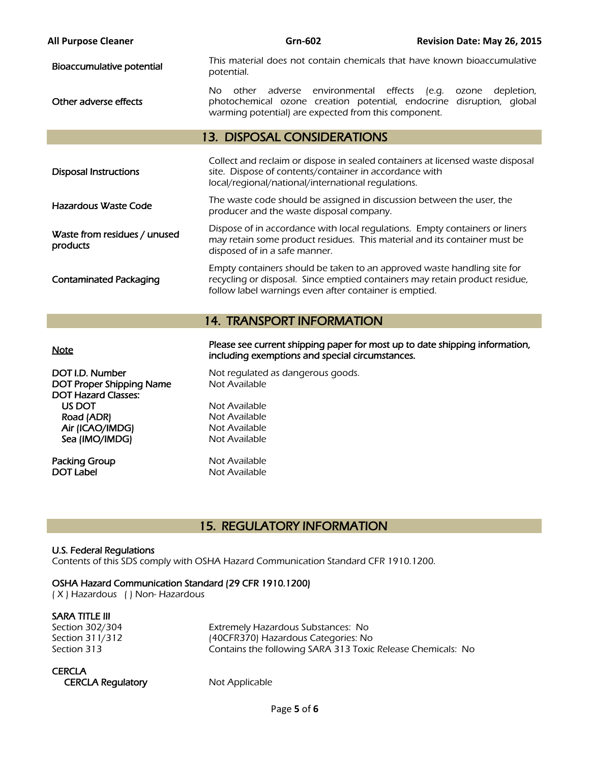| <b>All Purpose Cleaner</b>               | <b>Grn-602</b>                                                                                                                                                                                                   | Revision Date: May 26, 2015                        |  |
|------------------------------------------|------------------------------------------------------------------------------------------------------------------------------------------------------------------------------------------------------------------|----------------------------------------------------|--|
| Bioaccumulative potential                | This material does not contain chemicals that have known bioaccumulative<br>potential.                                                                                                                           |                                                    |  |
| Other adverse effects                    | adverse environmental<br>effects<br>other<br>No.<br>photochemical ozone creation potential, endocrine<br>warming potential) are expected from this component.                                                    | [e.g.<br>depletion,<br>ozone<br>disruption, global |  |
|                                          | <b>13. DISPOSAL CONSIDERATIONS</b>                                                                                                                                                                               |                                                    |  |
| <b>Disposal Instructions</b>             | Collect and reclaim or dispose in sealed containers at licensed waste disposal<br>site. Dispose of contents/container in accordance with<br>local/regional/national/international regulations.                   |                                                    |  |
| Hazardous Waste Code                     | The waste code should be assigned in discussion between the user, the<br>producer and the waste disposal company.                                                                                                |                                                    |  |
| Waste from residues / unused<br>products | Dispose of in accordance with local regulations. Empty containers or liners<br>may retain some product residues. This material and its container must be<br>disposed of in a safe manner.                        |                                                    |  |
| <b>Contaminated Packaging</b>            | Empty containers should be taken to an approved waste handling site for<br>recycling or disposal. Since emptied containers may retain product residue,<br>follow label warnings even after container is emptied. |                                                    |  |
| <b>14. TRANSPORT INFORMATION</b>         |                                                                                                                                                                                                                  |                                                    |  |
| <b>Alata</b>                             | Please see current shipping paper for most up to date shipping information,                                                                                                                                      |                                                    |  |

| <b>NOTE</b>                                            | including exemptions and special circumstances. |
|--------------------------------------------------------|-------------------------------------------------|
| DOT I.D. Number                                        | Not regulated as dangerous goods.               |
| DOT Proper Shipping Name<br><b>DOT Hazard Classes:</b> | Not Available                                   |
| US DOT                                                 | Not Available                                   |
| Road (ADR)                                             | Not Available                                   |
| Air (ICAO/IMDG)                                        | Not Available                                   |
| Sea (IMO/IMDG)                                         | Not Available                                   |
| Packing Group                                          | Not Available                                   |
| <b>DOT Label</b>                                       | Not Available                                   |

# 15. REGULATORY INFORMATION

### U.S. Federal Regulations

Contents of this SDS comply with OSHA Hazard Communication Standard CFR 1910.1200.

### OSHA Hazard Communication Standard (29 CFR 1910.1200)

( X ) Hazardous ( ) Non- Hazardous

**SARA TITLE III**<br>Section 302/304

Extremely Hazardous Substances: No Section 311/312 (40CFR370) Hazardous Categories: No Section 313 **Section 313** Contains the following SARA 313 Toxic Release Chemicals: No

**CERCLA** 

CERCLA Regulatory Mot Applicable